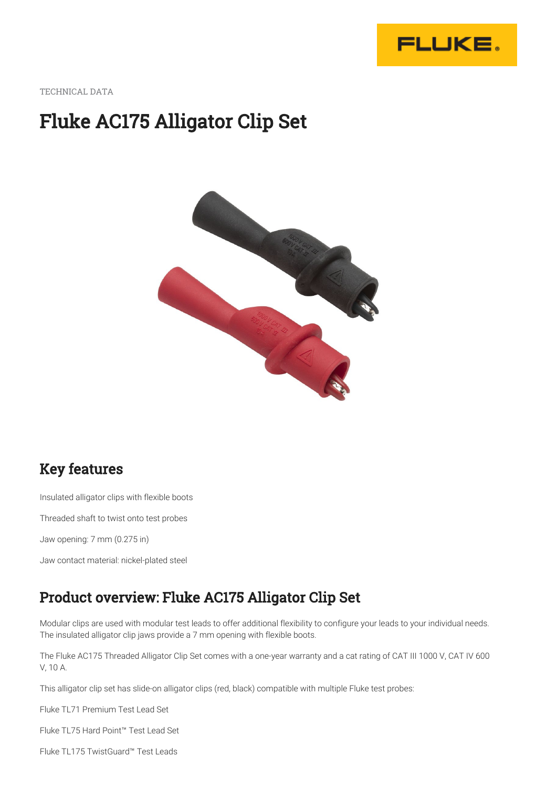

TECHNICAL DATA

# Fluke AC175 Alligator Clip Set



### Key features

Insulated alligator clips with flexible boots

Threaded shaft to twist onto test probes

Jaw opening: 7 mm (0.275 in)

Jaw contact material: nickel-plated steel

#### Product overview: Fluke AC175 Alligator Clip Set

Modular clips are used with modular test leads to offer additional flexibility to configure your leads to your individual needs. The insulated alligator clip jaws provide a 7 mm opening with flexible boots.

The Fluke AC175 Threaded Alligator Clip Set comes with a one-year warranty and a cat rating of CAT III 1000 V, CAT IV 600 V, 10 A.

This alligator clip set has slide-on alligator clips (red, black) compatible with multiple Fluke test probes:

Fluke TL71 Premium Test Lead Set

Fluke TL75 Hard Point™ Test Lead Set

Fluke TL175 TwistGuard™ Test Leads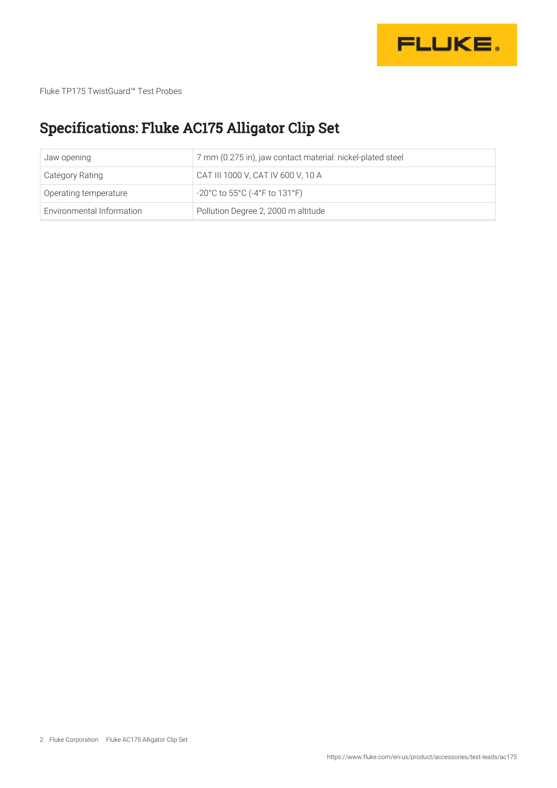

Fluke TP175 TwistGuard™ Test Probes

## Specifications: Fluke AC175 Alligator Clip Set

| Jaw opening               | 7 mm (0.275 in), jaw contact material: nickel-plated steel |
|---------------------------|------------------------------------------------------------|
| <b>Category Rating</b>    | CAT III 1000 V, CAT IV 600 V, 10 A                         |
| Operating temperature     | -20°C to 55°C (-4°F to 131°F)                              |
| Environmental Information | Pollution Degree 2, 2000 m altitude                        |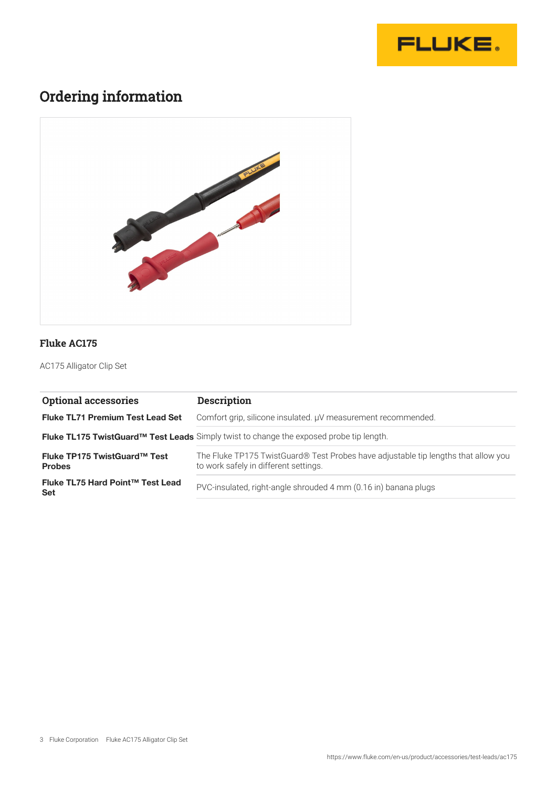

#### Ordering information



#### **Fluke AC175**

AC175 Alligator Clip Set

| <b>Optional accessories</b>                    | <b>Description</b>                                                                                                          |
|------------------------------------------------|-----------------------------------------------------------------------------------------------------------------------------|
| <b>Fluke TL71 Premium Test Lead Set</b>        | Comfort grip, silicone insulated. µV measurement recommended.                                                               |
|                                                | Fluke TL175 TwistGuard™ Test Leads Simply twist to change the exposed probe tip length.                                     |
| Fluke TP175 TwistGuard™ Test<br><b>Probes</b>  | The Fluke TP175 TwistGuard® Test Probes have adjustable tip lengths that allow you<br>to work safely in different settings. |
| Fluke TL75 Hard Point™ Test Lead<br><b>Set</b> | PVC-insulated, right-angle shrouded 4 mm (0.16 in) banana plugs                                                             |